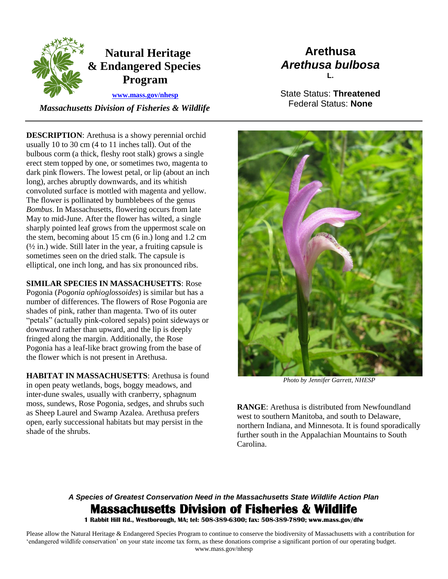

 *Massachusetts Division of Fisheries & Wildlife* 

## **Arethusa** *Arethusa bulbosa* **L.**

State Status: **Threatened** Federal Status: **None**

**DESCRIPTION:** Arethusa is a showy perennial orchid usually 10 to 30 cm (4 to 11 inches tall). Out of the bulbous corm (a thick, fleshy root stalk) grows a single erect stem topped by one, or sometimes two, magenta to dark pink flowers. The lowest petal, or lip (about an inch long), arches abruptly downwards, and its whitish convoluted surface is mottled with magenta and yellow. The flower is pollinated by bumblebees of the genus *Bombus*. In Massachusetts, flowering occurs from late May to mid-June. After the flower has wilted, a single sharply pointed leaf grows from the uppermost scale on the stem, becoming about 15 cm (6 in.) long and 1.2 cm  $(\frac{1}{2}$  in.) wide. Still later in the year, a fruiting capsule is sometimes seen on the dried stalk. The capsule is elliptical, one inch long, and has six pronounced ribs.

**SIMILAR SPECIES IN MASSACHUSETTS**: Rose Pogonia (*Pogonia ophioglossoides*) is similar but has a number of differences. The flowers of Rose Pogonia are shades of pink, rather than magenta. Two of its outer "petals" (actually pink-colored sepals) point sideways or downward rather than upward, and the lip is deeply fringed along the margin. Additionally, the Rose Pogonia has a leaf-like bract growing from the base of the flower which is not present in Arethusa.

**HABITAT IN MASSACHUSETTS**: Arethusa is found in open peaty wetlands, bogs, boggy meadows, and inter-dune swales, usually with cranberry, sphagnum moss, sundews, Rose Pogonia, sedges, and shrubs such as Sheep Laurel and Swamp Azalea. Arethusa prefers open, early successional habitats but may persist in the shade of the shrubs.



*Photo by Jennifer Garrett, NHESP* 

**RANGE**: Arethusa is distributed from Newfoundland west to southern Manitoba, and south to Delaware, northern Indiana, and Minnesota. It is found sporadically further south in the Appalachian Mountains to South Carolina.

## *A Species of Greatest Conservation Need in the Massachusetts State Wildlife Action Plan*  **Massachusetts Division of Fisheries & Wildlife**

**1 Rabbit Hill Rd., Westborough, MA; tel: 508-389-6300; fax: 508-389-7890; www.mass.gov/dfw** 

Please allow the Natural Heritage & Endangered Species Program to continue to conserve the biodiversity of Massachusetts with a contribution for 'endangered wildlife conservation' on your state income tax form, as these donations comprise a significant portion of our operating budget. www.mass.gov/nhesp